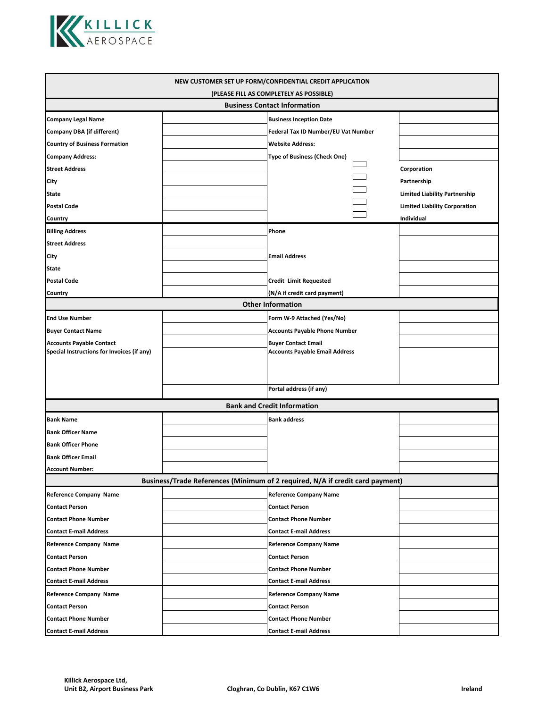

| NEW CUSTOMER SET UP FORM/CONFIDENTIAL CREDIT APPLICATION                       |  |                                       |  |                                                     |  |  |
|--------------------------------------------------------------------------------|--|---------------------------------------|--|-----------------------------------------------------|--|--|
| (PLEASE FILL AS COMPLETELY AS POSSIBLE)<br><b>Business Contact Information</b> |  |                                       |  |                                                     |  |  |
| <b>Company Legal Name</b>                                                      |  | <b>Business Inception Date</b>        |  |                                                     |  |  |
| <b>Company DBA (if different)</b>                                              |  | Federal Tax ID Number/EU Vat Number   |  |                                                     |  |  |
| <b>Country of Business Formation</b>                                           |  | <b>Website Address:</b>               |  |                                                     |  |  |
| <b>Company Address:</b>                                                        |  | Type of Business (Check One)          |  |                                                     |  |  |
| <b>Street Address</b>                                                          |  |                                       |  | Corporation                                         |  |  |
|                                                                                |  |                                       |  |                                                     |  |  |
| City                                                                           |  |                                       |  | Partnership<br><b>Limited Liability Partnership</b> |  |  |
| <b>State</b>                                                                   |  |                                       |  |                                                     |  |  |
| <b>Postal Code</b>                                                             |  |                                       |  | <b>Limited Liability Corporation</b>                |  |  |
| Country                                                                        |  |                                       |  | Individual                                          |  |  |
| <b>Billing Address</b>                                                         |  | Phone                                 |  |                                                     |  |  |
| <b>Street Address</b>                                                          |  |                                       |  |                                                     |  |  |
| City                                                                           |  | <b>Email Address</b>                  |  |                                                     |  |  |
| <b>State</b>                                                                   |  |                                       |  |                                                     |  |  |
| <b>Postal Code</b>                                                             |  | <b>Credit Limit Requested</b>         |  |                                                     |  |  |
| Country                                                                        |  | (N/A if credit card payment)          |  |                                                     |  |  |
| <b>Other Information</b>                                                       |  |                                       |  |                                                     |  |  |
| <b>End Use Number</b>                                                          |  | Form W-9 Attached (Yes/No)            |  |                                                     |  |  |
| <b>Buyer Contact Name</b>                                                      |  | <b>Accounts Payable Phone Number</b>  |  |                                                     |  |  |
| <b>Accounts Payable Contact</b><br>Special Instructions for Invoices (if any)  |  | <b>Buyer Contact Email</b>            |  |                                                     |  |  |
|                                                                                |  | <b>Accounts Payable Email Address</b> |  |                                                     |  |  |
|                                                                                |  |                                       |  |                                                     |  |  |
|                                                                                |  | Portal address (if any)               |  |                                                     |  |  |
|                                                                                |  |                                       |  |                                                     |  |  |
| <b>Bank and Credit Information</b>                                             |  |                                       |  |                                                     |  |  |
| <b>Bank Name</b>                                                               |  | <b>Bank address</b>                   |  |                                                     |  |  |
| <b>Bank Officer Name</b>                                                       |  |                                       |  |                                                     |  |  |
| <b>Bank Officer Phone</b>                                                      |  |                                       |  |                                                     |  |  |
| <b>Bank Officer Email</b>                                                      |  |                                       |  |                                                     |  |  |
| <b>Account Number:</b>                                                         |  |                                       |  |                                                     |  |  |
| Business/Trade References (Minimum of 2 required, N/A if credit card payment)  |  |                                       |  |                                                     |  |  |
| <b>Reference Company Name</b>                                                  |  | <b>Reference Company Name</b>         |  |                                                     |  |  |
| <b>Contact Person</b>                                                          |  | <b>Contact Person</b>                 |  |                                                     |  |  |
| <b>Contact Phone Number</b>                                                    |  | <b>Contact Phone Number</b>           |  |                                                     |  |  |
| <b>Contact E-mail Address</b>                                                  |  | <b>Contact E-mail Address</b>         |  |                                                     |  |  |
| <b>Reference Company Name</b>                                                  |  | <b>Reference Company Name</b>         |  |                                                     |  |  |
| <b>Contact Person</b>                                                          |  | <b>Contact Person</b>                 |  |                                                     |  |  |
| <b>Contact Phone Number</b>                                                    |  | <b>Contact Phone Number</b>           |  |                                                     |  |  |
| <b>Contact E-mail Address</b>                                                  |  | <b>Contact E-mail Address</b>         |  |                                                     |  |  |
| <b>Reference Company Name</b>                                                  |  | <b>Reference Company Name</b>         |  |                                                     |  |  |
| <b>Contact Person</b>                                                          |  | <b>Contact Person</b>                 |  |                                                     |  |  |
| <b>Contact Phone Number</b>                                                    |  | <b>Contact Phone Number</b>           |  |                                                     |  |  |
| <b>Contact E-mail Address</b>                                                  |  | <b>Contact E-mail Address</b>         |  |                                                     |  |  |